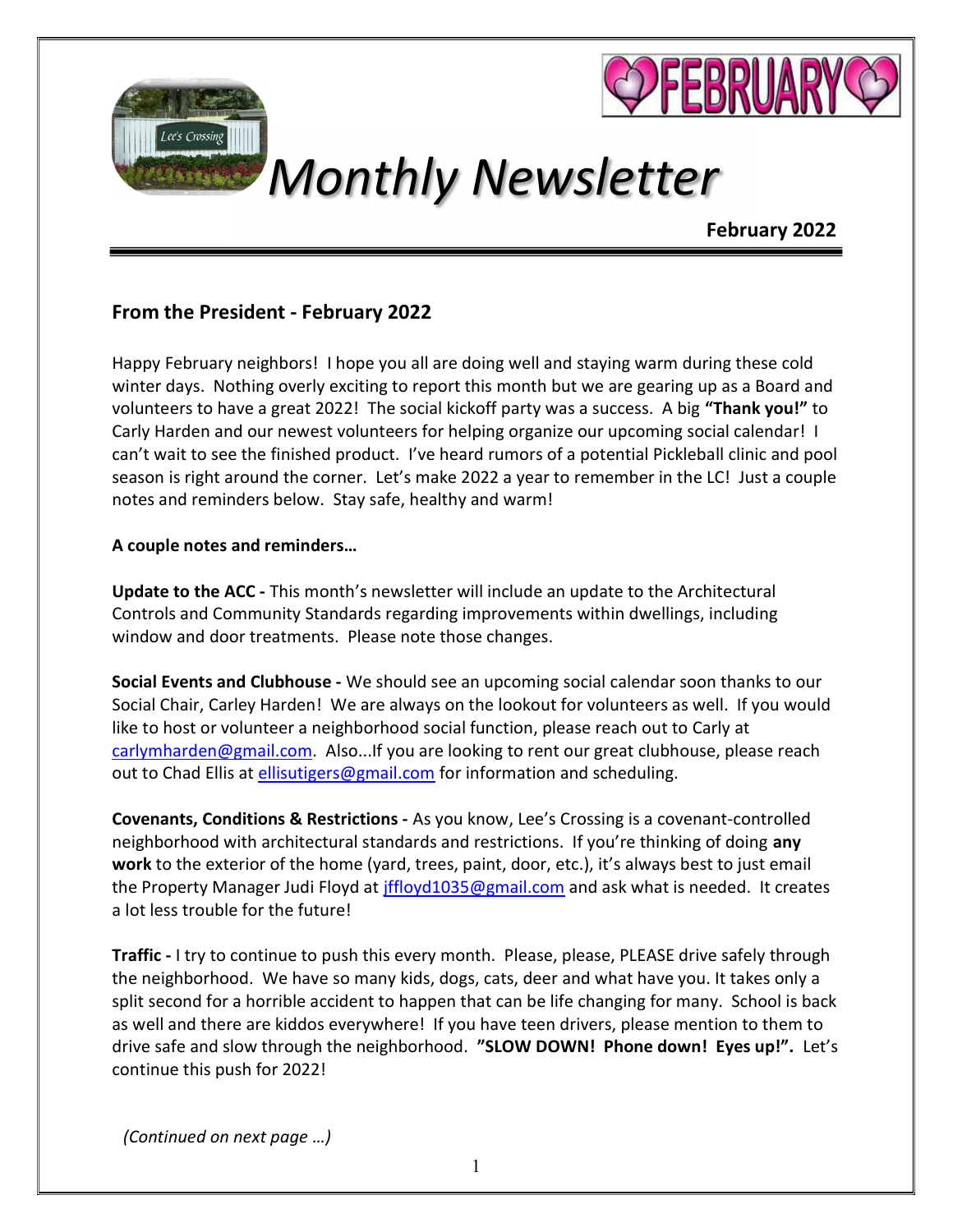

# Monthly Newsletter

## February 2022

## From the President - February 2022

Lee's Crossing

Happy February neighbors! I hope you all are doing well and staying warm during these cold winter days. Nothing overly exciting to report this month but we are gearing up as a Board and volunteers to have a great 2022! The social kickoff party was a success. A big "Thank you!" to Carly Harden and our newest volunteers for helping organize our upcoming social calendar! I can't wait to see the finished product. I've heard rumors of a potential Pickleball clinic and pool season is right around the corner. Let's make 2022 a year to remember in the LC! Just a couple notes and reminders below. Stay safe, healthy and warm!

#### A couple notes and reminders…

Update to the ACC - This month's newsletter will include an update to the Architectural Controls and Community Standards regarding improvements within dwellings, including window and door treatments. Please note those changes.

Social Events and Clubhouse - We should see an upcoming social calendar soon thanks to our Social Chair, Carley Harden! We are always on the lookout for volunteers as well. If you would like to host or volunteer a neighborhood social function, please reach out to Carly at carlymharden@gmail.com. Also...If you are looking to rent our great clubhouse, please reach out to Chad Ellis at ellisutigers@gmail.com for information and scheduling.

Covenants, Conditions & Restrictions - As you know, Lee's Crossing is a covenant-controlled neighborhood with architectural standards and restrictions. If you're thinking of doing any work to the exterior of the home (yard, trees, paint, door, etc.), it's always best to just email the Property Manager Judi Floyd at *jffloyd1035@gmail.com* and ask what is needed. It creates a lot less trouble for the future!

Traffic - I try to continue to push this every month. Please, please, PLEASE drive safely through the neighborhood. We have so many kids, dogs, cats, deer and what have you. It takes only a split second for a horrible accident to happen that can be life changing for many. School is back as well and there are kiddos everywhere! If you have teen drivers, please mention to them to drive safe and slow through the neighborhood. "SLOW DOWN! Phone down! Eyes up!". Let's continue this push for 2022!

(Continued on next page …)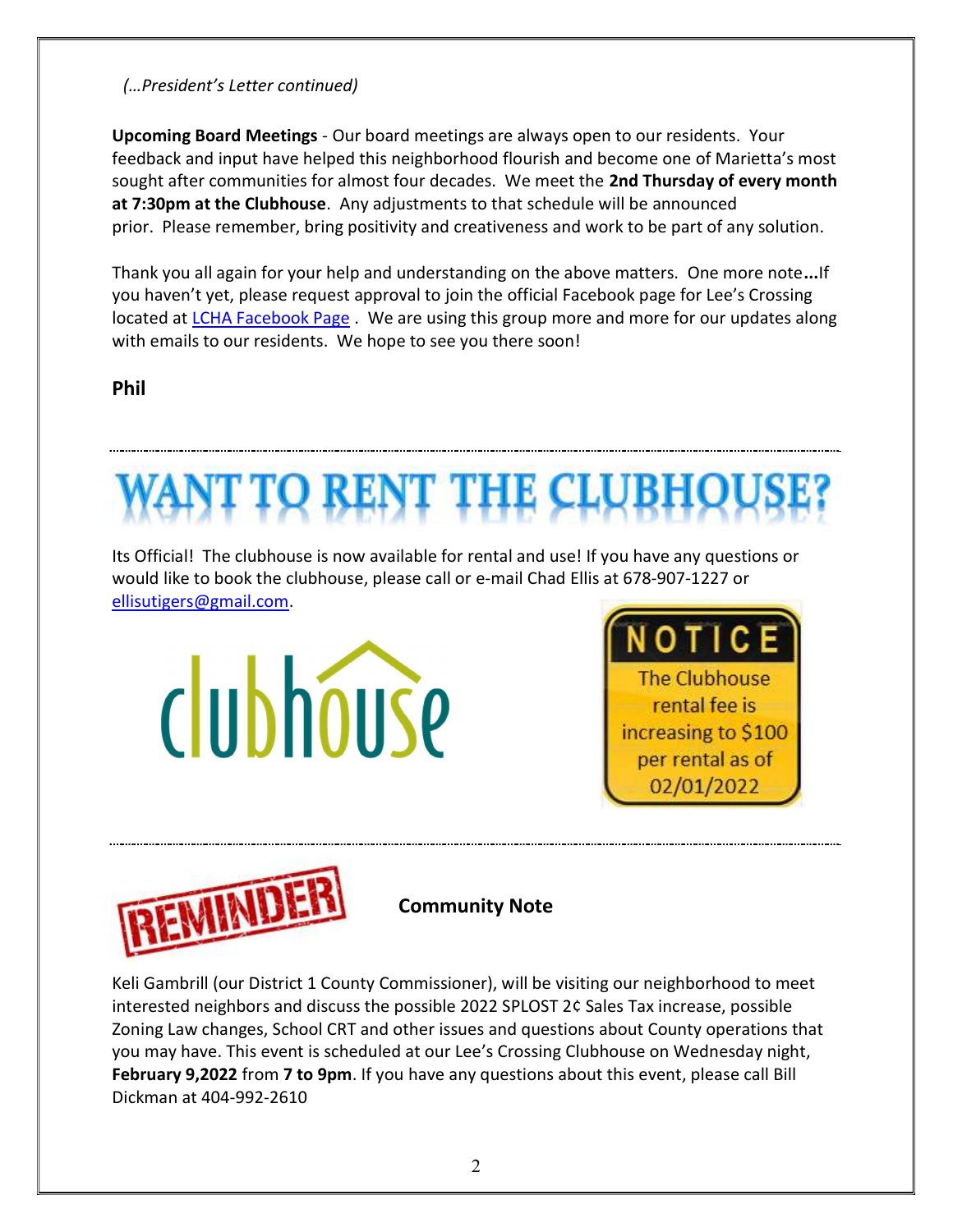## (…President's Letter continued)

Upcoming Board Meetings - Our board meetings are always open to our residents. Your feedback and input have helped this neighborhood flourish and become one of Marietta's most sought after communities for almost four decades. We meet the 2nd Thursday of every month at 7:30pm at the Clubhouse. Any adjustments to that schedule will be announced prior. Please remember, bring positivity and creativeness and work to be part of any solution.

Thank you all again for your help and understanding on the above matters. One more note...If you haven't yet, please request approval to join the official Facebook page for Lee's Crossing located at LCHA Facebook Page . We are using this group more and more for our updates along with emails to our residents. We hope to see you there soon!

# Phil



ellisutigers@gmail.com.







Community Note

Keli Gambrill (our District 1 County Commissioner), will be visiting our neighborhood to meet interested neighbors and discuss the possible 2022 SPLOST 2¢ Sales Tax increase, possible Zoning Law changes, School CRT and other issues and questions about County operations that you may have. This event is scheduled at our Lee's Crossing Clubhouse on Wednesday night, February 9,2022 from 7 to 9pm. If you have any questions about this event, please call Bill Dickman at 404-992-2610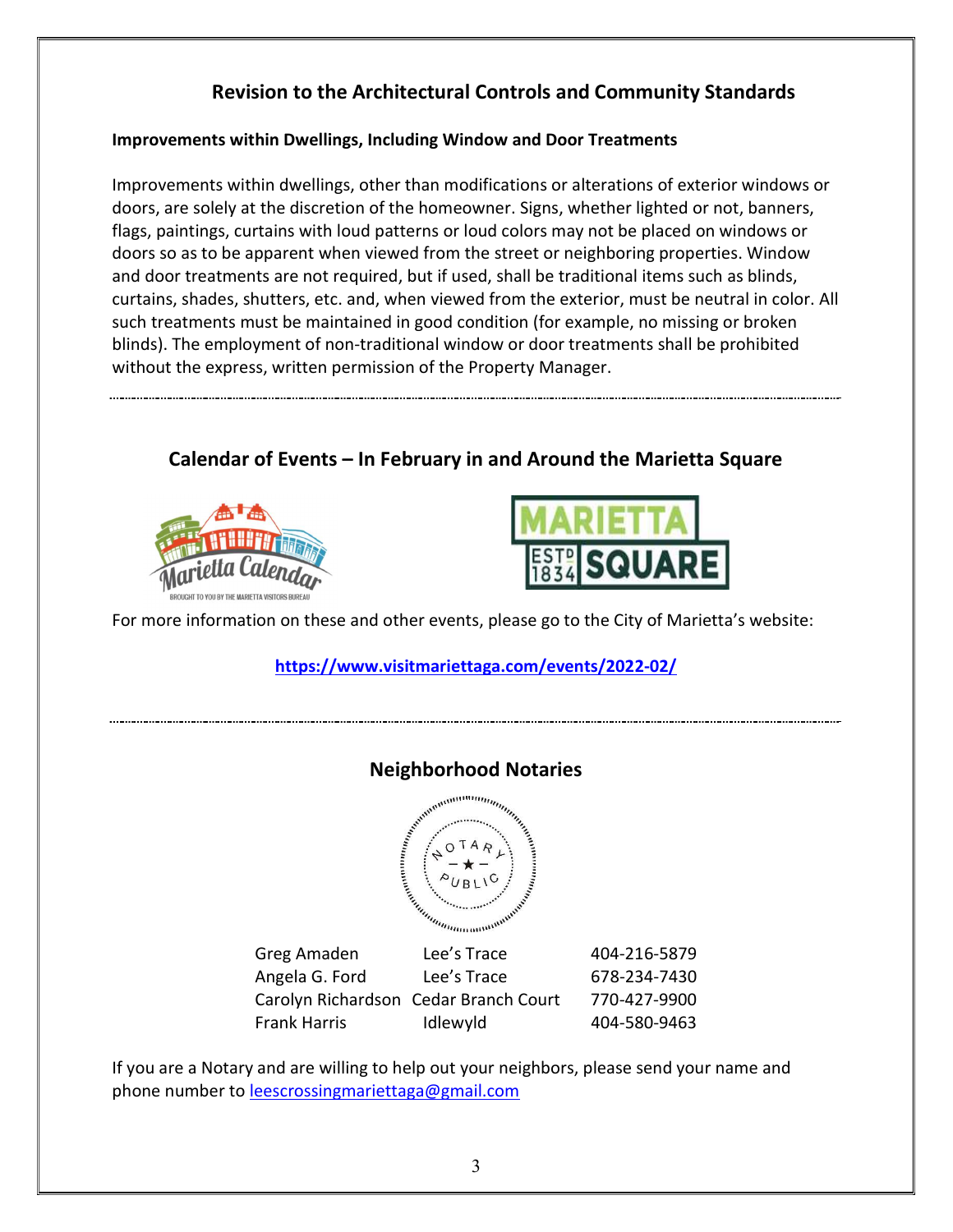# Revision to the Architectural Controls and Community Standards

#### Improvements within Dwellings, Including Window and Door Treatments

Improvements within dwellings, other than modifications or alterations of exterior windows or doors, are solely at the discretion of the homeowner. Signs, whether lighted or not, banners, flags, paintings, curtains with loud patterns or loud colors may not be placed on windows or doors so as to be apparent when viewed from the street or neighboring properties. Window and door treatments are not required, but if used, shall be traditional items such as blinds, curtains, shades, shutters, etc. and, when viewed from the exterior, must be neutral in color. All such treatments must be maintained in good condition (for example, no missing or broken blinds). The employment of non-traditional window or door treatments shall be prohibited without the express, written permission of the Property Manager.

Calendar of Events – In February in and Around the Marietta Square





For more information on these and other events, please go to the City of Marietta's website:

### https://www.visitmariettaga.com/events/2022-02/



If you are a Notary and are willing to help out your neighbors, please send your name and phone number to leescrossingmariettaga@gmail.com